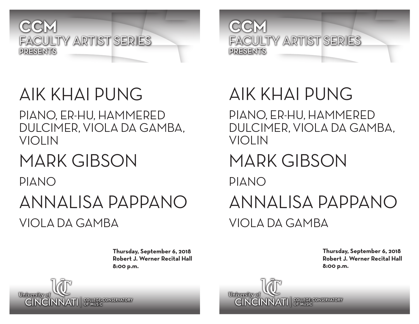

#### **CCM** FACULTY ARTIST SERIES PRESENTS

# AIK KHAI PUNG

PIANO, ER-HU, HAMMERED DULCIMER, VIOLA DA GAMBA, VIOLIN

### MARK GIBSON

PIANO

#### ANNALISA PAPPANO VIOLA DA GAMBA

**Thursday, September 6, 2018 Robert J. Werner Recital Hall 8:00 p.m.**

# AIK KHAI PUNG

PIANO, ER-HU, HAMMERED DULCIMER, VIOLA DA GAMBA, VIOLIN

### MARK GIBSON

PIANO

## ANNALISA PAPPANO VIOLA DA GAMBA

**Thursday, September 6, 2018 Robert J. Werner Recital Hall 8:00 p.m.**



**University** of **CINCINNATI** SPLACE-CONSERVATORY